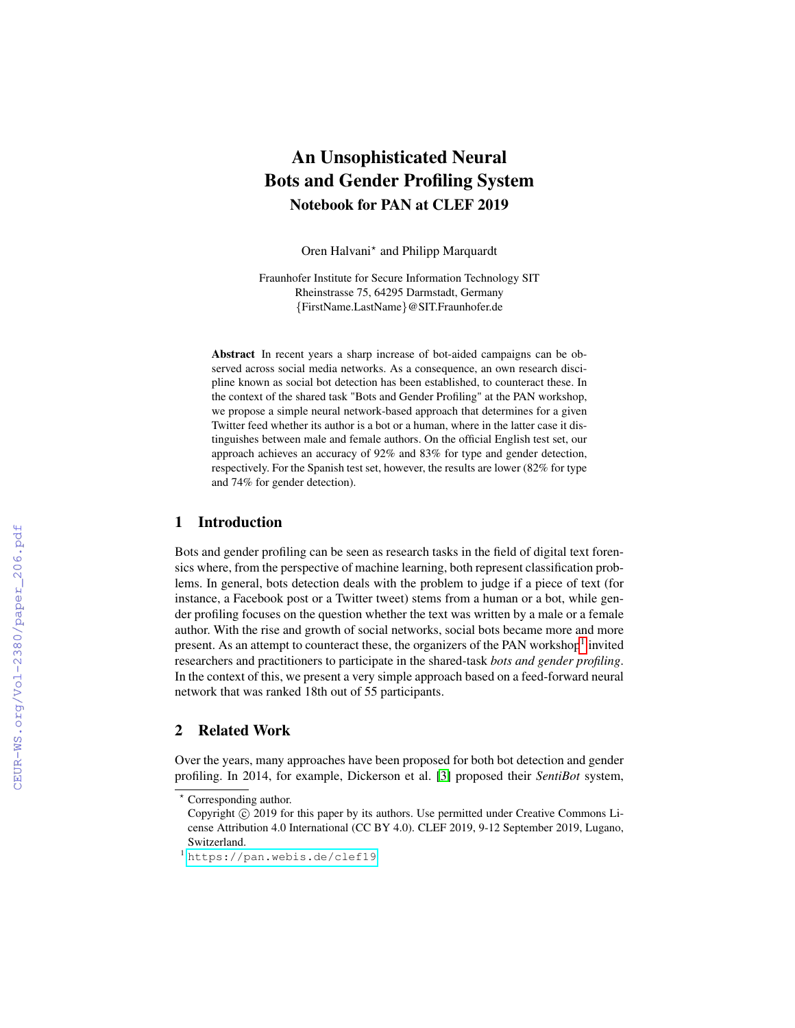# An Unsophisticated Neural Bots and Gender Profiling System Notebook for PAN at CLEF 2019

Oren Halvani\* and Philipp Marquardt

Fraunhofer Institute for Secure Information Technology SIT Rheinstrasse 75, 64295 Darmstadt, Germany {FirstName.LastName}@SIT.Fraunhofer.de

Abstract In recent years a sharp increase of bot-aided campaigns can be observed across social media networks. As a consequence, an own research discipline known as social bot detection has been established, to counteract these. In the context of the shared task "Bots and Gender Profiling" at the PAN workshop, we propose a simple neural network-based approach that determines for a given Twitter feed whether its author is a bot or a human, where in the latter case it distinguishes between male and female authors. On the official English test set, our approach achieves an accuracy of 92% and 83% for type and gender detection, respectively. For the Spanish test set, however, the results are lower (82% for type and 74% for gender detection).

## 1 Introduction

Bots and gender profiling can be seen as research tasks in the field of digital text forensics where, from the perspective of machine learning, both represent classification problems. In general, bots detection deals with the problem to judge if a piece of text (for instance, a Facebook post or a Twitter tweet) stems from a human or a bot, while gender profiling focuses on the question whether the text was written by a male or a female author. With the rise and growth of social networks, social bots became more and more present. As an attempt to counteract these, the organizers of the PAN workshop<sup>[1](#page-0-0)</sup> invited researchers and practitioners to participate in the shared-task *bots and gender profiling*. In the context of this, we present a very simple approach based on a feed-forward neural network that was ranked 18th out of 55 participants.

#### 2 Related Work

Over the years, many approaches have been proposed for both bot detection and gender profiling. In 2014, for example, Dickerson et al. [\[3\]](#page--1-0) proposed their *SentiBot* system,

<sup>?</sup> Corresponding author.

Copyright  $\odot$  2019 for this paper by its authors. Use permitted under Creative Commons License Attribution 4.0 International (CC BY 4.0). CLEF 2019, 9-12 September 2019, Lugano, Switzerland.

<span id="page-0-0"></span><sup>1</sup> <https://pan.webis.de/clef19>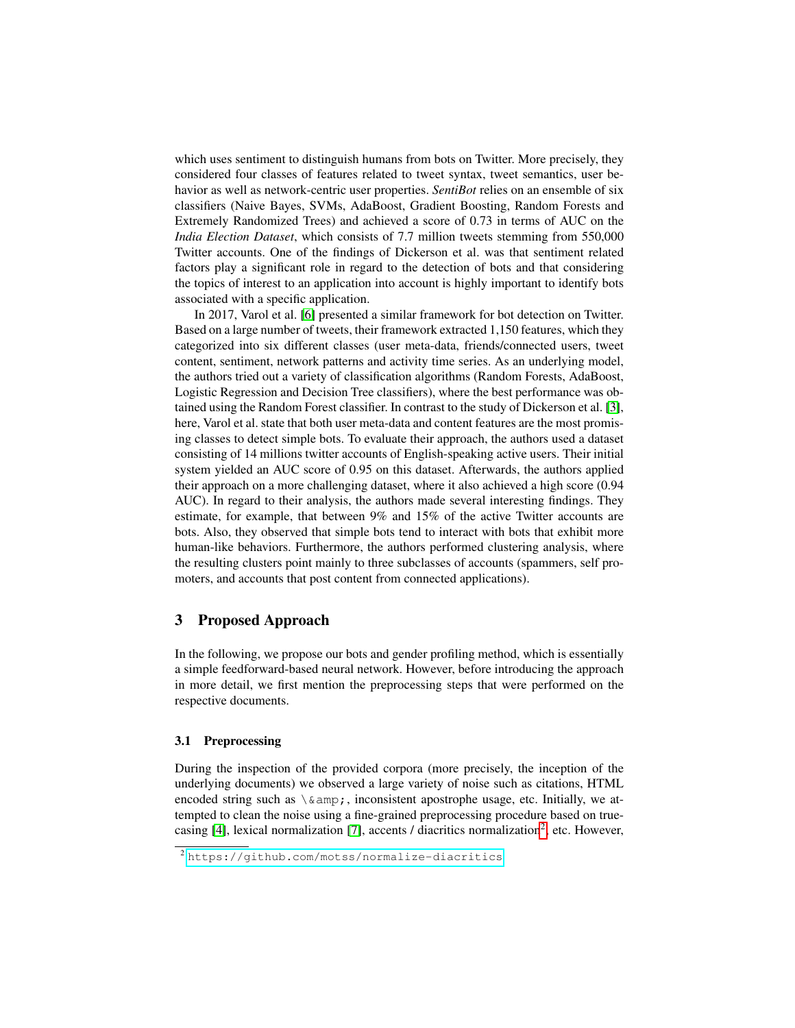<span id="page-1-1"></span>which uses sentiment to distinguish humans from bots on Twitter. More precisely, they considered four classes of features related to tweet syntax, tweet semantics, user behavior as well as network-centric user properties. *SentiBot* relies on an ensemble of six classifiers (Naive Bayes, SVMs, AdaBoost, Gradient Boosting, Random Forests and Extremely Randomized Trees) and achieved a score of 0.73 in terms of AUC on the *India Election Dataset*, which consists of 7.7 million tweets stemming from 550,000 Twitter accounts. One of the findings of Dickerson et al. was that sentiment related factors play a significant role in regard to the detection of bots and that considering the topics of interest to an application into account is highly important to identify bots associated with a specific application.

In 2017, Varol et al. [\[6\]](#page-4-0) presented a similar framework for bot detection on Twitter. Based on a large number of tweets, their framework extracted 1,150 features, which they categorized into six different classes (user meta-data, friends/connected users, tweet content, sentiment, network patterns and activity time series. As an underlying model, the authors tried out a variety of classification algorithms (Random Forests, AdaBoost, Logistic Regression and Decision Tree classifiers), where the best performance was obtained using the Random Forest classifier. In contrast to the study of Dickerson et al. [\[3\]](#page-4-1), here, Varol et al. state that both user meta-data and content features are the most promising classes to detect simple bots. To evaluate their approach, the authors used a dataset consisting of 14 millions twitter accounts of English-speaking active users. Their initial system yielded an AUC score of 0.95 on this dataset. Afterwards, the authors applied their approach on a more challenging dataset, where it also achieved a high score (0.94 AUC). In regard to their analysis, the authors made several interesting findings. They estimate, for example, that between 9% and 15% of the active Twitter accounts are bots. Also, they observed that simple bots tend to interact with bots that exhibit more human-like behaviors. Furthermore, the authors performed clustering analysis, where the resulting clusters point mainly to three subclasses of accounts (spammers, self promoters, and accounts that post content from connected applications).

# 3 Proposed Approach

In the following, we propose our bots and gender profiling method, which is essentially a simple feedforward-based neural network. However, before introducing the approach in more detail, we first mention the preprocessing steps that were performed on the respective documents.

#### 3.1 Preprocessing

During the inspection of the provided corpora (more precisely, the inception of the underlying documents) we observed a large variety of noise such as citations, HTML encoded string such as  $\alpha$ , inconsistent apostrophe usage, etc. Initially, we attempted to clean the noise using a fine-grained preprocessing procedure based on true-casing [\[4\]](#page-4-2), lexical normalization [\[7\]](#page-4-3), accents  $\prime$  diacritics normalization<sup>[2](#page-1-0)</sup>, etc. However,

<span id="page-1-0"></span><sup>2</sup> <https://github.com/motss/normalize-diacritics>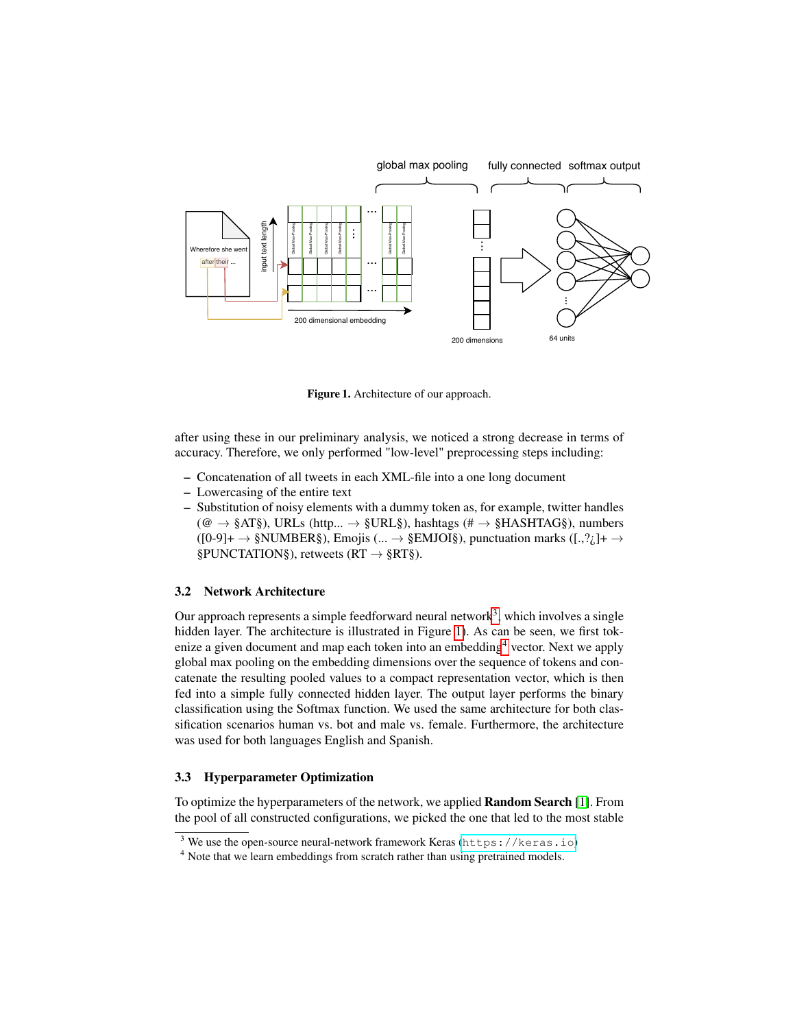<span id="page-2-3"></span>

<span id="page-2-1"></span>Figure 1. Architecture of our approach.

after using these in our preliminary analysis, we noticed a strong decrease in terms of accuracy. Therefore, we only performed "low-level" preprocessing steps including:

- Concatenation of all tweets in each XML-file into a one long document
- Lowercasing of the entire text
- Substitution of noisy elements with a dummy token as, for example, twitter handles  $(\mathcal{Q} \rightarrow \S$ AT§), URLs (http...  $\rightarrow \S$ URL§), hashtags (#  $\rightarrow \S$ HASHTAG§), numbers  $([0-9]+\rightarrow$ §NUMBER§), Emojis (...  $\rightarrow$  §EMJOI§), punctuation marks ([.,?*i*]+  $\rightarrow$ §PUNCTATION§), retweets ( $RT \rightarrow \S RT\S$ ).

#### 3.2 Network Architecture

Our approach represents a simple feedforward neural network<sup>[3](#page-2-0)</sup>, which involves a single hidden layer. The architecture is illustrated in Figure [1\)](#page-2-1). As can be seen, we first tok-enize a given document and map each token into an embedding<sup>[4](#page-2-2)</sup> vector. Next we apply global max pooling on the embedding dimensions over the sequence of tokens and concatenate the resulting pooled values to a compact representation vector, which is then fed into a simple fully connected hidden layer. The output layer performs the binary classification using the Softmax function. We used the same architecture for both classification scenarios human vs. bot and male vs. female. Furthermore, the architecture was used for both languages English and Spanish.

#### 3.3 Hyperparameter Optimization

To optimize the hyperparameters of the network, we applied Random Search [\[1\]](#page-4-4). From the pool of all constructed configurations, we picked the one that led to the most stable

<span id="page-2-0"></span><sup>&</sup>lt;sup>3</sup> We use the open-source neural-network framework Keras (<https://keras.io>)

<span id="page-2-2"></span><sup>&</sup>lt;sup>4</sup> Note that we learn embeddings from scratch rather than using pretrained models.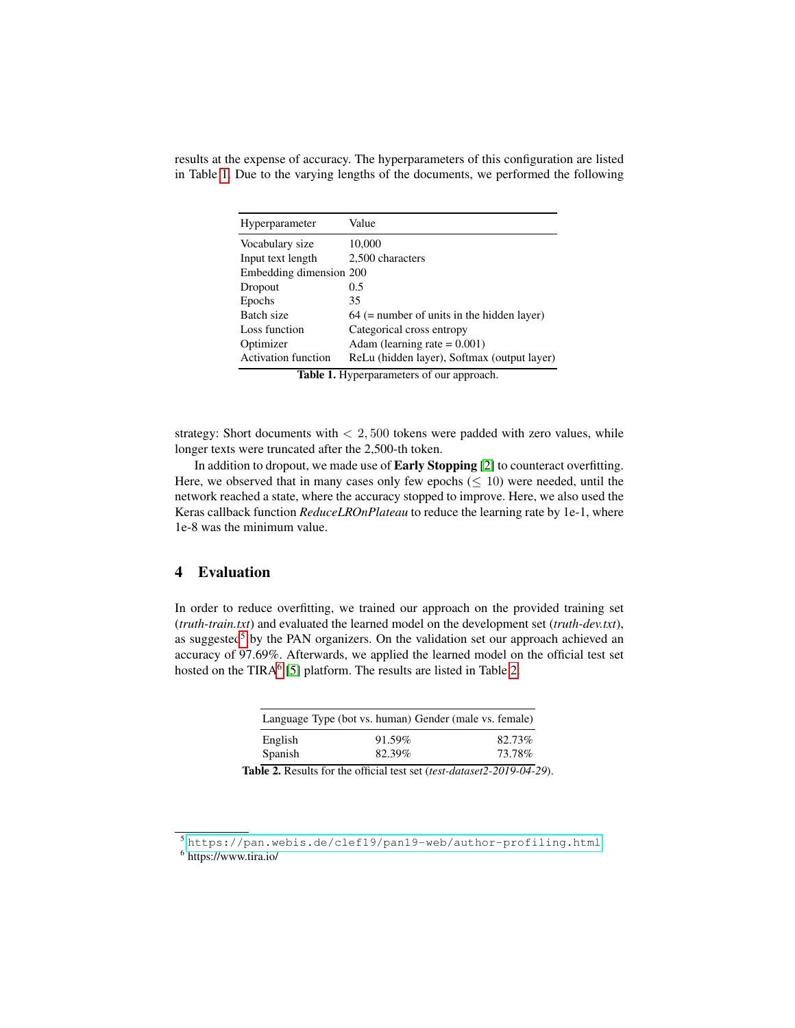<span id="page-3-4"></span>results at the expense of accuracy. The hyperparameters of this configuration are listed in Table [1.](#page-3-0) Due to the varying lengths of the documents, we performed the following

| Hyperparameter             | Value                                        |  |
|----------------------------|----------------------------------------------|--|
| Vocabulary size            | 10,000                                       |  |
| Input text length          | 2,500 characters                             |  |
| Embedding dimension 200    |                                              |  |
| Dropout                    | 0.5                                          |  |
| Epochs                     | 35                                           |  |
| Batch size                 | $64$ (= number of units in the hidden layer) |  |
| Loss function              | Categorical cross entropy                    |  |
| Optimizer                  | Adam (learning rate $= 0.001$ )              |  |
| <b>Activation function</b> | ReLu (hidden layer), Softmax (output layer)  |  |

<span id="page-3-0"></span>Table 1. Hyperparameters of our approach.

strategy: Short documents with  $< 2,500$  tokens were padded with zero values, while longer texts were truncated after the 2,500-th token.

In addition to dropout, we made use of Early Stopping [\[2\]](#page-4-5) to counteract overfitting. Here, we observed that in many cases only few epochs  $(\leq 10)$  were needed, until the network reached a state, where the accuracy stopped to improve. Here, we also used the Keras callback function *ReduceLROnPlateau* to reduce the learning rate by 1e-1, where 1e-8 was the minimum value.

# 4 Evaluation

In order to reduce overfitting, we trained our approach on the provided training set (*truth-train.txt*) and evaluated the learned model on the development set (*truth-dev.txt*), as suggested<sup>[5](#page-3-1)</sup> by the PAN organizers. On the validation set our approach achieved an accuracy of 97.69%. Afterwards, we applied the learned model on the official test set hosted on the TIRA $<sup>6</sup>$  $<sup>6</sup>$  $<sup>6</sup>$  [\[5\]](#page-4-6) platform. The results are listed in Table [2.](#page-3-3)</sup>

<span id="page-3-3"></span>

| Language Type (bot vs. human) Gender (male vs. female) |               |         |
|--------------------------------------------------------|---------------|---------|
| English                                                | 91.59%        | 82.73%  |
| Spanish                                                | 82.39%        | 73.78%  |
| $\sim$                                                 | ---<br>$\sim$ | - - - - |

Table 2. Results for the official test set (*test-dataset2-2019-04-29*).

<span id="page-3-2"></span><span id="page-3-1"></span><sup>5</sup> <https://pan.webis.de/clef19/pan19-web/author-profiling.html> 6 https://www.tira.io/